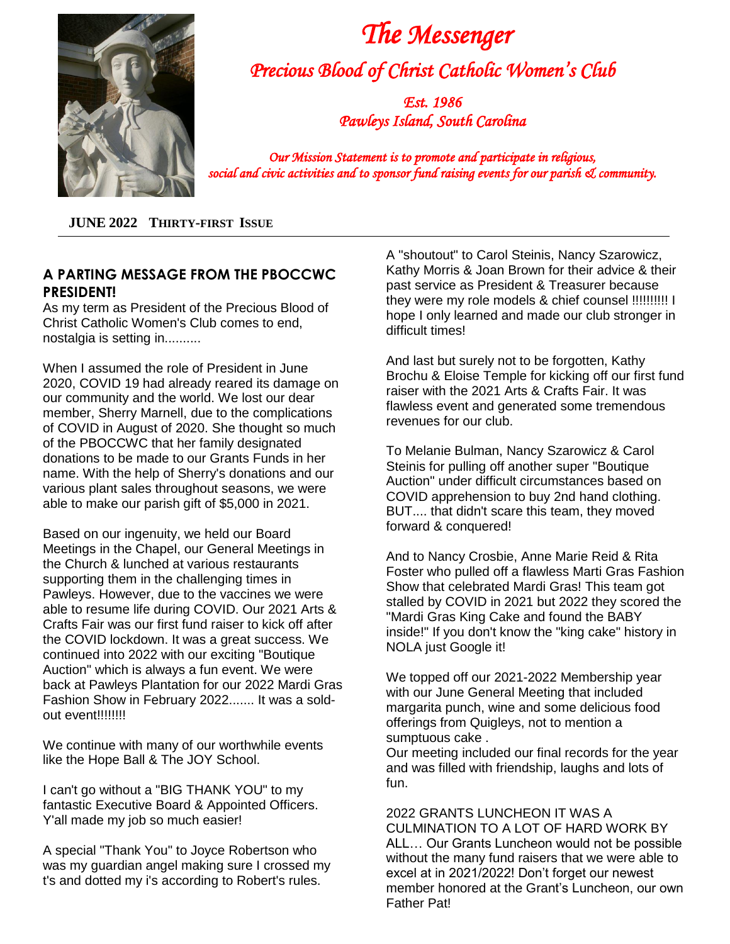

 *The Messenger Precious Blood of Christ Catholic Women's Club* 

> *Est. 1986 Pawleys Island, South Carolina*

*Our Mission Statement is to promote and participate in religious, social and civic activities and to sponsor fund raising events for our parish & community.* 

**JUNE 2022 THIRTY-FIRST ISSUE**

#### **A PARTING MESSAGE FROM THE PBOCCWC PRESIDENT!**

As my term as President of the Precious Blood of Christ Catholic Women's Club comes to end, nostalgia is setting in..........

When I assumed the role of President in June 2020, COVID 19 had already reared its damage on our community and the world. We lost our dear member, Sherry Marnell, due to the complications of COVID in August of 2020. She thought so much of the PBOCCWC that her family designated donations to be made to our Grants Funds in her name. With the help of Sherry's donations and our various plant sales throughout seasons, we were able to make our parish gift of \$5,000 in 2021.

Based on our ingenuity, we held our Board Meetings in the Chapel, our General Meetings in the Church & lunched at various restaurants supporting them in the challenging times in Pawleys. However, due to the vaccines we were able to resume life during COVID. Our 2021 Arts & Crafts Fair was our first fund raiser to kick off after the COVID lockdown. It was a great success. We continued into 2022 with our exciting "Boutique Auction" which is always a fun event. We were back at Pawleys Plantation for our 2022 Mardi Gras Fashion Show in February 2022....... It was a soldout event!!!!!!!!

We continue with many of our worthwhile events like the Hope Ball & The JOY School.

I can't go without a "BIG THANK YOU" to my fantastic Executive Board & Appointed Officers. Y'all made my job so much easier!

A special "Thank You" to Joyce Robertson who was my guardian angel making sure I crossed my t's and dotted my i's according to Robert's rules.

A "shoutout" to Carol Steinis, Nancy Szarowicz, Kathy Morris & Joan Brown for their advice & their past service as President & Treasurer because they were my role models & chief counsel !!!!!!!!!! I hope I only learned and made our club stronger in difficult times!

And last but surely not to be forgotten, Kathy Brochu & Eloise Temple for kicking off our first fund raiser with the 2021 Arts & Crafts Fair. It was flawless event and generated some tremendous revenues for our club.

To Melanie Bulman, Nancy Szarowicz & Carol Steinis for pulling off another super "Boutique Auction" under difficult circumstances based on COVID apprehension to buy 2nd hand clothing. BUT.... that didn't scare this team, they moved forward & conquered!

And to Nancy Crosbie, Anne Marie Reid & Rita Foster who pulled off a flawless Marti Gras Fashion Show that celebrated Mardi Gras! This team got stalled by COVID in 2021 but 2022 they scored the "Mardi Gras King Cake and found the BABY inside!" If you don't know the "king cake" history in NOLA just Google it!

We topped off our 2021-2022 Membership year with our June General Meeting that included margarita punch, wine and some delicious food offerings from Quigleys, not to mention a sumptuous cake .

Our meeting included our final records for the year and was filled with friendship, laughs and lots of fun.

2022 GRANTS LUNCHEON IT WAS A CULMINATION TO A LOT OF HARD WORK BY ALL… Our Grants Luncheon would not be possible without the many fund raisers that we were able to excel at in 2021/2022! Don't forget our newest member honored at the Grant's Luncheon, our own Father Pat!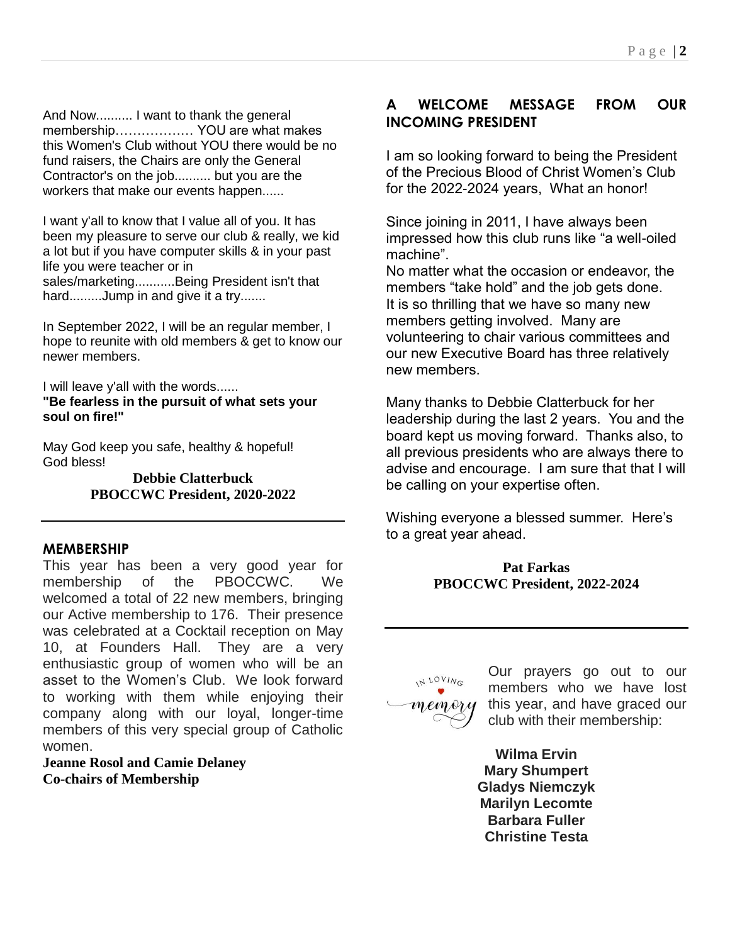And Now.......... I want to thank the general membership……………… YOU are what makes this Women's Club without YOU there would be no fund raisers, the Chairs are only the General Contractor's on the job.......... but you are the workers that make our events happen......

I want y'all to know that I value all of you. It has been my pleasure to serve our club & really, we kid a lot but if you have computer skills & in your past life you were teacher or in sales/marketing...........Being President isn't that hard.........Jump in and give it a try.......

In September 2022, I will be an regular member, I hope to reunite with old members & get to know our newer members.

I will leave y'all with the words...... **"Be fearless in the pursuit of what sets your soul on fire!"**

May God keep you safe, healthy & hopeful! God bless!

> **Debbie Clatterbuck PBOCCWC President, 2020-2022**

#### **MEMBERSHIP**

This year has been a very good year for membership of the PBOCCWC. We welcomed a total of 22 new members, bringing our Active membership to 176. Their presence was celebrated at a Cocktail reception on May 10, at Founders Hall. They are a very enthusiastic group of women who will be an asset to the Women's Club. We look forward to working with them while enjoying their company along with our loyal, longer-time members of this very special group of Catholic women.

**Jeanne Rosol and Camie Delaney Co-chairs of Membership**

#### **A WELCOME MESSAGE FROM OUR INCOMING PRESIDENT**

I am so looking forward to being the President of the Precious Blood of Christ Women's Club for the 2022-2024 years, What an honor!

Since joining in 2011, I have always been impressed how this club runs like "a well-oiled machine".

No matter what the occasion or endeavor, the members "take hold" and the job gets done. It is so thrilling that we have so many new members getting involved. Many are volunteering to chair various committees and our new Executive Board has three relatively new members.

Many thanks to Debbie Clatterbuck for her leadership during the last 2 years. You and the board kept us moving forward. Thanks also, to all previous presidents who are always there to advise and encourage. I am sure that that I will be calling on your expertise often.

Wishing everyone a blessed summer. Here's to a great year ahead.

#### **Pat Farkas PBOCCWC President, 2022-2024**

IN LOVING memory

Our prayers go out to our members who we have lost this year, and have graced our club with their membership:

**Wilma Ervin Mary Shumpert Gladys Niemczyk Marilyn Lecomte Barbara Fuller Christine Testa**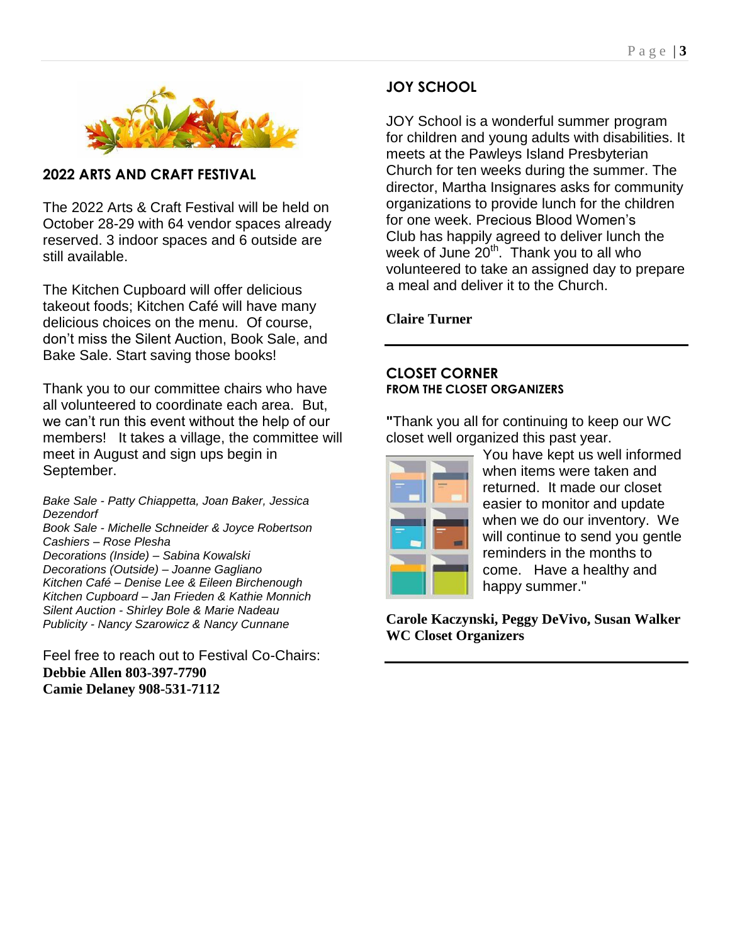

**2022 ARTS AND CRAFT FESTIVAL**

The 2022 Arts & Craft Festival will be held on October 28-29 with 64 vendor spaces already reserved. 3 indoor spaces and 6 outside are still available.

The Kitchen Cupboard will offer delicious takeout foods; Kitchen Café will have many delicious choices on the menu. Of course, don't miss the Silent Auction, Book Sale, and Bake Sale. Start saving those books!

Thank you to our committee chairs who have all volunteered to coordinate each area. But, we can't run this event without the help of our members! It takes a village, the committee will meet in August and sign ups begin in September.

*Bake Sale - Patty Chiappetta, Joan Baker, Jessica Dezendorf Book Sale - Michelle Schneider & Joyce Robertson Cashiers – Rose Plesha*

*Decorations (Inside) – Sabina Kowalski Decorations (Outside) – Joanne Gagliano Kitchen Café – Denise Lee & Eileen Birchenough Kitchen Cupboard – Jan Frieden & Kathie Monnich Silent Auction - Shirley Bole & Marie Nadeau Publicity - Nancy Szarowicz & Nancy Cunnane*

Feel free to reach out to Festival Co-Chairs: **Debbie Allen 803-397-7790 Camie Delaney 908-531-7112**

## **JOY SCHOOL**

JOY School is a wonderful summer program for children and young adults with disabilities. It meets at the Pawleys Island Presbyterian Church for ten weeks during the summer. The director, Martha Insignares asks for community organizations to provide lunch for the children for one week. Precious Blood Women's Club has happily agreed to deliver lunch the week of June  $20<sup>th</sup>$ . Thank you to all who volunteered to take an assigned day to prepare a meal and deliver it to the Church.

**Claire Turner**

#### **CLOSET CORNER FROM THE CLOSET ORGANIZERS**

**"**Thank you all for continuing to keep our WC closet well organized this past year.



You have kept us well informed when items were taken and returned. It made our closet easier to monitor and update when we do our inventory. We will continue to send you gentle reminders in the months to come. Have a healthy and happy summer."

**Carole Kaczynski, Peggy DeVivo, Susan Walker WC Closet Organizers**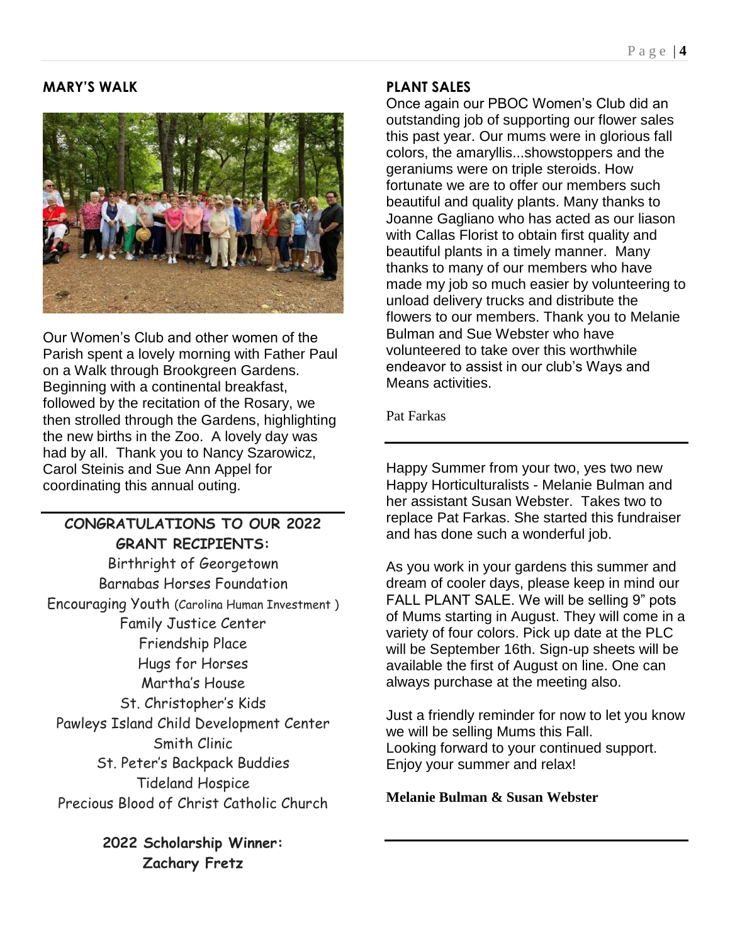## **MARY'S WALK**



Our Women's Club and other women of the Parish spent a lovely morning with Father Paul on a Walk through Brookgreen Gardens. Beginning with a continental breakfast, followed by the recitation of the Rosary, we then strolled through the Gardens, highlighting the new births in the Zoo. A lovely day was had by all. Thank you to Nancy Szarowicz, Carol Steinis and Sue Ann Appel for coordinating this annual outing.

# **CONGRATULATIONS TO OUR 2022 GRANT RECIPIENTS:**

Birthright of Georgetown Barnabas Horses Foundation Encouraging Youth (Carolina Human Investment ) Family Justice Center Friendship Place Hugs for Horses Martha's House St. Christopher's Kids Pawleys Island Child Development Center Smith Clinic St. Peter's Backpack Buddies Tideland Hospice Precious Blood of Christ Catholic Church

> **2022 Scholarship Winner: Zachary Fretz**

#### **PLANT SALES**

Once again our PBOC Women's Club did an outstanding job of supporting our flower sales this past year. Our mums were in glorious fall colors, the amaryllis...showstoppers and the geraniums were on triple steroids. How fortunate we are to offer our members such beautiful and quality plants. Many thanks to Joanne Gagliano who has acted as our liason with Callas Florist to obtain first quality and beautiful plants in a timely manner. Many thanks to many of our members who have made my job so much easier by volunteering to unload delivery trucks and distribute the flowers to our members. Thank you to Melanie Bulman and Sue Webster who have volunteered to take over this worthwhile endeavor to assist in our club's Ways and Means activities.

Pat Farkas

Happy Summer from your two, yes two new Happy Horticulturalists - Melanie Bulman and her assistant Susan Webster. Takes two to replace Pat Farkas. She started this fundraiser and has done such a wonderful job.

As you work in your gardens this summer and dream of cooler days, please keep in mind our FALL PLANT SALE. We will be selling 9" pots of Mums starting in August. They will come in a variety of four colors. Pick up date at the PLC will be September 16th. Sign-up sheets will be available the first of August on line. One can always purchase at the meeting also.

Just a friendly reminder for now to let you know we will be selling Mums this Fall. Looking forward to your continued support. Enjoy your summer and relax!

#### **Melanie Bulman & Susan Webster**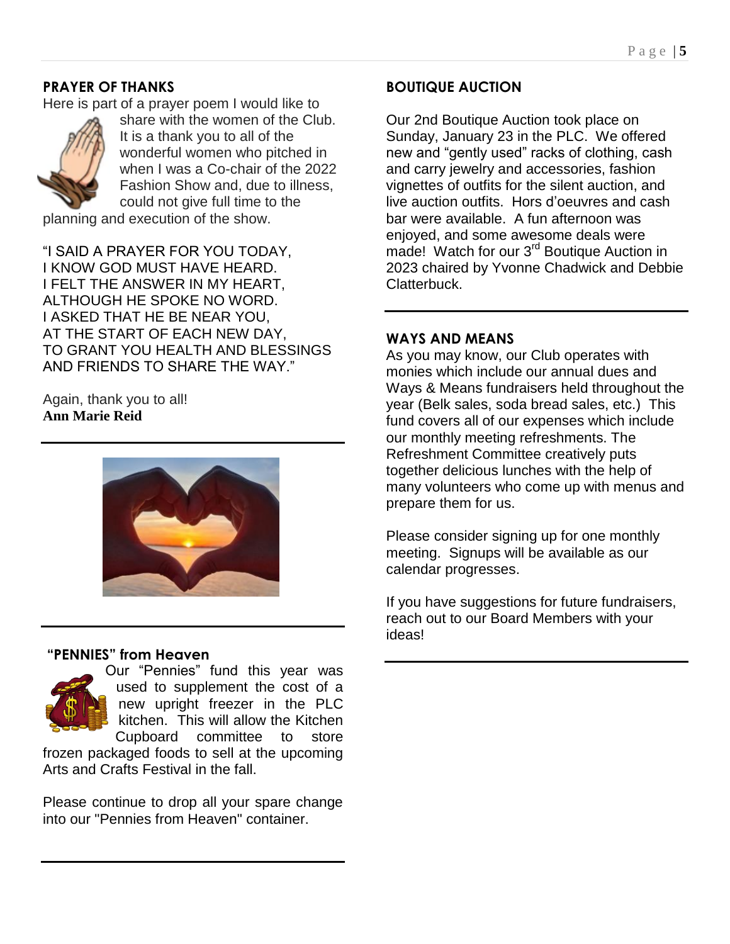## **PRAYER OF THANKS**

Here is part of a prayer poem I would like to



share with the women of the Club. It is a thank you to all of the wonderful women who pitched in when I was a Co-chair of the 2022 Fashion Show and, due to illness, could not give full time to the

planning and execution of the show.

"I SAID A PRAYER FOR YOU TODAY, I KNOW GOD MUST HAVE HEARD. I FELT THE ANSWER IN MY HEART, ALTHOUGH HE SPOKE NO WORD. I ASKED THAT HE BE NEAR YOU, AT THE START OF EACH NEW DAY, TO GRANT YOU HEALTH AND BLESSINGS AND FRIENDS TO SHARE THE WAY."

Again, thank you to all! **Ann Marie Reid**



#### **"PENNIES" from Heaven**



Our "Pennies" fund this year was used to supplement the cost of a new upright freezer in the PLC kitchen. This will allow the Kitchen Cupboard committee to store

frozen packaged foods to sell at the upcoming Arts and Crafts Festival in the fall.

Please continue to drop all your spare change into our "Pennies from Heaven" container.

#### **BOUTIQUE AUCTION**

Our 2nd Boutique Auction took place on Sunday, January 23 in the PLC. We offered new and "gently used" racks of clothing, cash and carry jewelry and accessories, fashion vignettes of outfits for the silent auction, and live auction outfits. Hors d'oeuvres and cash bar were available. A fun afternoon was enjoyed, and some awesome deals were made! Watch for our 3<sup>rd</sup> Boutique Auction in 2023 chaired by Yvonne Chadwick and Debbie Clatterbuck.

#### **WAYS AND MEANS**

As you may know, our Club operates with monies which include our annual dues and Ways & Means fundraisers held throughout the year (Belk sales, soda bread sales, etc.) This fund covers all of our expenses which include our monthly meeting refreshments. The Refreshment Committee creatively puts together delicious lunches with the help of many volunteers who come up with menus and prepare them for us.

Please consider signing up for one monthly meeting. Signups will be available as our calendar progresses.

If you have suggestions for future fundraisers, reach out to our Board Members with your ideas!